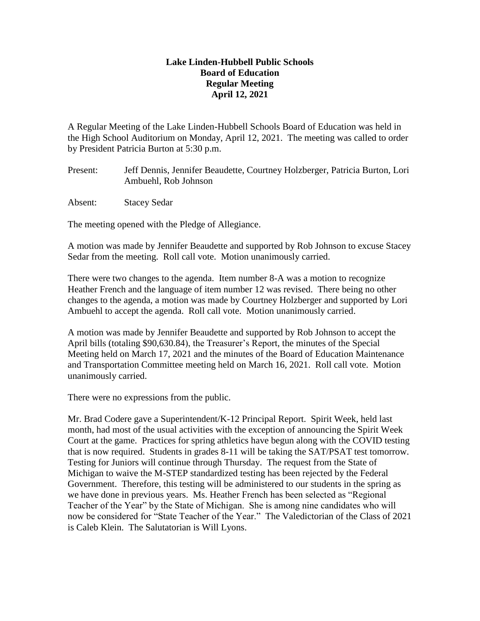## **Lake Linden-Hubbell Public Schools Board of Education Regular Meeting April 12, 2021**

A Regular Meeting of the Lake Linden-Hubbell Schools Board of Education was held in the High School Auditorium on Monday, April 12, 2021. The meeting was called to order by President Patricia Burton at 5:30 p.m.

- Present: Jeff Dennis, Jennifer Beaudette, Courtney Holzberger, Patricia Burton, Lori Ambuehl, Rob Johnson
- Absent: Stacey Sedar

The meeting opened with the Pledge of Allegiance.

A motion was made by Jennifer Beaudette and supported by Rob Johnson to excuse Stacey Sedar from the meeting. Roll call vote. Motion unanimously carried.

There were two changes to the agenda. Item number 8-A was a motion to recognize Heather French and the language of item number 12 was revised. There being no other changes to the agenda, a motion was made by Courtney Holzberger and supported by Lori Ambuehl to accept the agenda. Roll call vote. Motion unanimously carried.

A motion was made by Jennifer Beaudette and supported by Rob Johnson to accept the April bills (totaling \$90,630.84), the Treasurer's Report, the minutes of the Special Meeting held on March 17, 2021 and the minutes of the Board of Education Maintenance and Transportation Committee meeting held on March 16, 2021. Roll call vote. Motion unanimously carried.

There were no expressions from the public.

Mr. Brad Codere gave a Superintendent/K-12 Principal Report. Spirit Week, held last month, had most of the usual activities with the exception of announcing the Spirit Week Court at the game. Practices for spring athletics have begun along with the COVID testing that is now required. Students in grades 8-11 will be taking the SAT/PSAT test tomorrow. Testing for Juniors will continue through Thursday. The request from the State of Michigan to waive the M-STEP standardized testing has been rejected by the Federal Government. Therefore, this testing will be administered to our students in the spring as we have done in previous years. Ms. Heather French has been selected as "Regional Teacher of the Year" by the State of Michigan. She is among nine candidates who will now be considered for "State Teacher of the Year." The Valedictorian of the Class of 2021 is Caleb Klein. The Salutatorian is Will Lyons.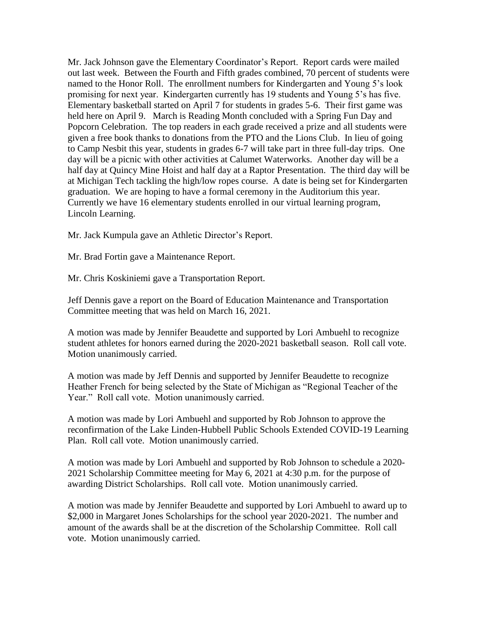Mr. Jack Johnson gave the Elementary Coordinator's Report. Report cards were mailed out last week. Between the Fourth and Fifth grades combined, 70 percent of students were named to the Honor Roll. The enrollment numbers for Kindergarten and Young 5's look promising for next year. Kindergarten currently has 19 students and Young 5's has five. Elementary basketball started on April 7 for students in grades 5-6. Their first game was held here on April 9. March is Reading Month concluded with a Spring Fun Day and Popcorn Celebration. The top readers in each grade received a prize and all students were given a free book thanks to donations from the PTO and the Lions Club. In lieu of going to Camp Nesbit this year, students in grades 6-7 will take part in three full-day trips. One day will be a picnic with other activities at Calumet Waterworks. Another day will be a half day at Quincy Mine Hoist and half day at a Raptor Presentation. The third day will be at Michigan Tech tackling the high/low ropes course. A date is being set for Kindergarten graduation. We are hoping to have a formal ceremony in the Auditorium this year. Currently we have 16 elementary students enrolled in our virtual learning program, Lincoln Learning.

Mr. Jack Kumpula gave an Athletic Director's Report.

Mr. Brad Fortin gave a Maintenance Report.

Mr. Chris Koskiniemi gave a Transportation Report.

Jeff Dennis gave a report on the Board of Education Maintenance and Transportation Committee meeting that was held on March 16, 2021.

A motion was made by Jennifer Beaudette and supported by Lori Ambuehl to recognize student athletes for honors earned during the 2020-2021 basketball season. Roll call vote. Motion unanimously carried.

A motion was made by Jeff Dennis and supported by Jennifer Beaudette to recognize Heather French for being selected by the State of Michigan as "Regional Teacher of the Year." Roll call vote. Motion unanimously carried.

A motion was made by Lori Ambuehl and supported by Rob Johnson to approve the reconfirmation of the Lake Linden-Hubbell Public Schools Extended COVID-19 Learning Plan. Roll call vote. Motion unanimously carried.

A motion was made by Lori Ambuehl and supported by Rob Johnson to schedule a 2020- 2021 Scholarship Committee meeting for May 6, 2021 at 4:30 p.m. for the purpose of awarding District Scholarships. Roll call vote. Motion unanimously carried.

A motion was made by Jennifer Beaudette and supported by Lori Ambuehl to award up to \$2,000 in Margaret Jones Scholarships for the school year 2020-2021. The number and amount of the awards shall be at the discretion of the Scholarship Committee. Roll call vote. Motion unanimously carried.